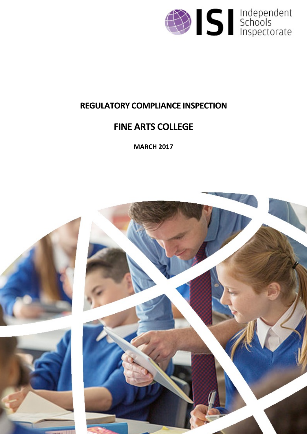

# **REGULATORY COMPLIANCE INSPECTION**

# **FINE ARTS COLLEGE**

**MARCH 2017**

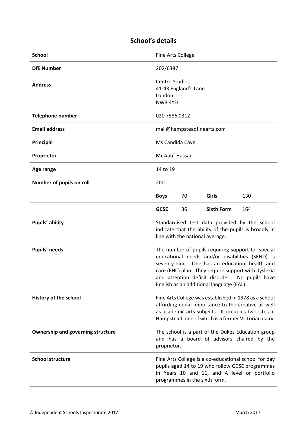| <b>School</b>                            | Fine Arts College                                                                                                                         |                 |                                          |                                                                                                                                                                                                                                                                  |  |
|------------------------------------------|-------------------------------------------------------------------------------------------------------------------------------------------|-----------------|------------------------------------------|------------------------------------------------------------------------------------------------------------------------------------------------------------------------------------------------------------------------------------------------------------------|--|
| <b>DfE Number</b>                        | 202/6387                                                                                                                                  |                 |                                          |                                                                                                                                                                                                                                                                  |  |
| <b>Address</b>                           | <b>Centre Studios</b><br>41-43 England's Lane<br>London<br><b>NW3 4YD</b>                                                                 |                 |                                          |                                                                                                                                                                                                                                                                  |  |
| <b>Telephone number</b>                  | 020 7586 0312                                                                                                                             |                 |                                          |                                                                                                                                                                                                                                                                  |  |
| <b>Email address</b>                     | mail@hampsteadfinearts.com                                                                                                                |                 |                                          |                                                                                                                                                                                                                                                                  |  |
| Principal                                |                                                                                                                                           | Ms Candida Cave |                                          |                                                                                                                                                                                                                                                                  |  |
| Proprietor                               |                                                                                                                                           | Mr Aatif Hassan |                                          |                                                                                                                                                                                                                                                                  |  |
| Age range                                | 14 to 19                                                                                                                                  |                 |                                          |                                                                                                                                                                                                                                                                  |  |
| Number of pupils on roll                 | 200                                                                                                                                       |                 |                                          |                                                                                                                                                                                                                                                                  |  |
|                                          | <b>Boys</b>                                                                                                                               | 70              | Girls                                    | 130                                                                                                                                                                                                                                                              |  |
|                                          | <b>GCSE</b>                                                                                                                               | 36              | <b>Sixth Form</b>                        | 164                                                                                                                                                                                                                                                              |  |
| Pupils' ability                          | Standardised test data provided by the school<br>indicate that the ability of the pupils is broadly in<br>line with the national average. |                 |                                          |                                                                                                                                                                                                                                                                  |  |
|                                          |                                                                                                                                           |                 |                                          |                                                                                                                                                                                                                                                                  |  |
| Pupils' needs                            |                                                                                                                                           |                 | English as an additional language (EAL). | The number of pupils requiring support for special<br>educational needs and/or disabilities (SEND) is<br>seventy-nine. One has an education, health and<br>care (EHC) plan. They require support with dyslexia<br>and attention deficit disorder. No pupils have |  |
| History of the school                    |                                                                                                                                           |                 |                                          | Fine Arts College was established in 1978 as a school<br>affording equal importance to the creative as well<br>as academic arts subjects. It occupies two sites in<br>Hampstead, one of which is a former Victorian dairy.                                       |  |
| <b>Ownership and governing structure</b> | proprietor.                                                                                                                               |                 |                                          | The school is a part of the Dukes Education group<br>and has a board of advisors chaired by the                                                                                                                                                                  |  |

## **School's details**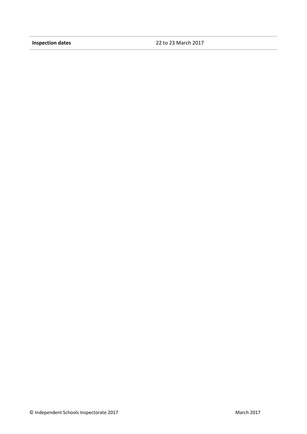**Inspection dates** 22 to 23 March 2017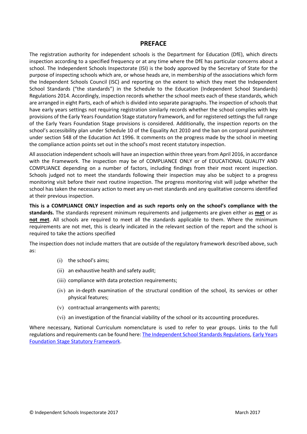#### **PREFACE**

The registration authority for independent schools is the Department for Education (DfE), which directs inspection according to a specified frequency or at any time where the DfE has particular concerns about a school. The Independent Schools Inspectorate (ISI) is the body approved by the Secretary of State for the purpose of inspecting schools which are, or whose heads are, in membership of the associations which form the Independent Schools Council (ISC) and reporting on the extent to which they meet the Independent School Standards ("the standards") in the Schedule to the Education (Independent School Standards) Regulations 2014. Accordingly, inspection records whether the school meets each of these standards, which are arranged in eight Parts, each of which is divided into separate paragraphs. The inspection of schools that have early years settings not requiring registration similarly records whether the school complies with key provisions of the Early Years Foundation Stage statutory framework, and for registered settings the full range of the Early Years Foundation Stage provisions is considered. Additionally, the inspection reports on the school's accessibility plan under Schedule 10 of the Equality Act 2010 and the ban on corporal punishment under section 548 of the Education Act 1996. It comments on the progress made by the school in meeting the compliance action points set out in the school's most recent statutory inspection.

All association independent schools will have an inspection within three years from April 2016, in accordance with the Framework. The inspection may be of COMPLIANCE ONLY or of EDUCATIONAL QUALITY AND COMPLIANCE depending on a number of factors, including findings from their most recent inspection. Schools judged not to meet the standards following their inspection may also be subject to a progress monitoring visit before their next routine inspection. The progress monitoring visit will judge whether the school has taken the necessary action to meet any un-met standards and any qualitative concerns identified at their previous inspection.

**This is a COMPLIANCE ONLY inspection and as such reports only on the school's compliance with the standards.** The standards represent minimum requirements and judgements are given either as **met** or as **not met**. All schools are required to meet all the standards applicable to them. Where the minimum requirements are not met, this is clearly indicated in the relevant section of the report and the school is required to take the actions specified

The inspection does not include matters that are outside of the regulatory framework described above, such as:

- (i) the school's aims;
- (ii) an exhaustive health and safety audit;
- (iii) compliance with data protection requirements;
- (iv) an in-depth examination of the structural condition of the school, its services or other physical features;
- (v) contractual arrangements with parents;
- (vi) an investigation of the financial viability of the school or its accounting procedures.

Where necessary, National Curriculum nomenclature is used to refer to year groups. Links to the full regulations and requirements can be found here: The [Independent](http://www.legislation.gov.uk/uksi/2014/3283/contents/made) School Standards Regulations, Early [Years](https://www.gov.uk/government/publications/early-years-foundation-stage-framework--2) [Foundation](https://www.gov.uk/government/publications/early-years-foundation-stage-framework--2) Stage Statutory Framework.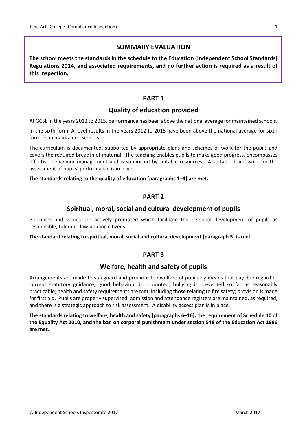## **SUMMARY EVALUATION**

**The school meets the standards in the schedule to the Education (Independent School Standards) Regulations 2014, and associated requirements, and no further action is required as a result of this inspection.**

## **PART 1**

#### **Quality of education provided**

At GCSE in the years 2012 to 2015, performance has been above the national average for maintained schools.

In the sixth form, A-level results in the years 2012 to 2015 have been above the national average for sixth formers in maintained schools.

The curriculum is documented, supported by appropriate plans and schemes of work for the pupils and covers the required breadth of material. The teaching enables pupils to make good progress, encompasses effective behaviour management and is supported by suitable resources. A suitable framework for the assessment of pupils' performance is in place.

**The standards relating to the quality of education [paragraphs 1–4] are met.**

#### **PART 2**

#### **Spiritual, moral, social and cultural development of pupils**

Principles and values are actively promoted which facilitate the personal development of pupils as responsible, tolerant, law-abiding citizens.

**The standard relating to spiritual, moral, social and cultural development [paragraph 5] is met.**

#### **PART 3**

#### **Welfare, health and safety of pupils**

Arrangements are made to safeguard and promote the welfare of pupils by means that pay due regard to current statutory guidance; good behaviour is promoted; bullying is prevented so far as reasonably practicable; health and safety requirements are met, including those relating to fire safety; provision is made for first aid. Pupils are properly supervised; admission and attendance registers are maintained, as required, and there is a strategic approach to risk assessment. A disability access plan is in place.

**The standards relating to welfare, health and safety [paragraphs 6–16], the requirement of Schedule 10 of** the Equality Act 2010, and the ban on corporal punishment under section 548 of the Education Act 1996 **are met.**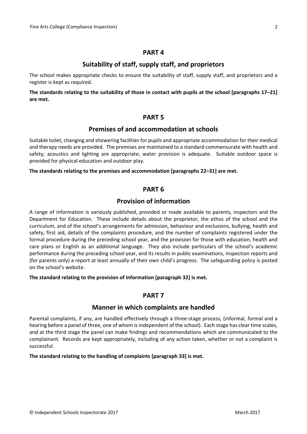#### **PART 4**

## **Suitability of staff, supply staff, and proprietors**

The school makes appropriate checks to ensure the suitability of staff, supply staff, and proprietors and a register is kept as required.

The standards relating to the suitability of those in contact with pupils at the school [paragraphs 17-21] **are met.**

#### **PART 5**

## **Premises of and accommodation at schools**

Suitable toilet, changing and showering facilities for pupils and appropriate accommodation for their medical and therapy needs are provided. The premises are maintained to a standard commensurate with health and safety; acoustics and lighting are appropriate; water provision is adequate. Suitable outdoor space is provided for physical education and outdoor play.

**The standards relating to the premises and accommodation [paragraphs 22–31] are met.**

#### **PART 6**

## **Provision of information**

A range of information is variously published, provided or made available to parents, inspectors and the Department for Education. These include details about the proprietor, the ethos of the school and the curriculum, and of the school's arrangements for admission, behaviour and exclusions, bullying, health and safety, first aid, details of the complaints procedure, and the number of complaints registered under the formal procedure during the preceding school year, and the provision for those with education, health and care plans or English as an additional language. They also include particulars of the school's academic performance during the preceding school year, and its results in public examinations, inspection reports and (for parents only) a report at least annually of their own child's progress. The safeguarding policy is posted on the school's website.

**The standard relating to the provision of information [paragraph 32] is met.**

#### **PART 7**

#### **Manner in which complaints are handled**

Parental complaints, if any, are handled effectively through a three-stage process, (informal, formal and a hearing before a panel of three, one of whom is independent of the school). Each stage has clear time scales, and at the third stage the panel can make findings and recommendations which are communicated to the complainant. Records are kept appropriately, including of any action taken, whether or not a complaint is successful.

#### **The standard relating to the handling of complaints [paragraph 33] is met.**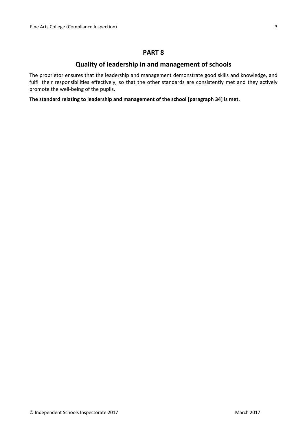#### **PART 8**

## **Quality of leadership in and management of schools**

The proprietor ensures that the leadership and management demonstrate good skills and knowledge, and fulfil their responsibilities effectively, so that the other standards are consistently met and they actively promote the well-being of the pupils.

**The standard relating to leadership and management of the school [paragraph 34] is met.**